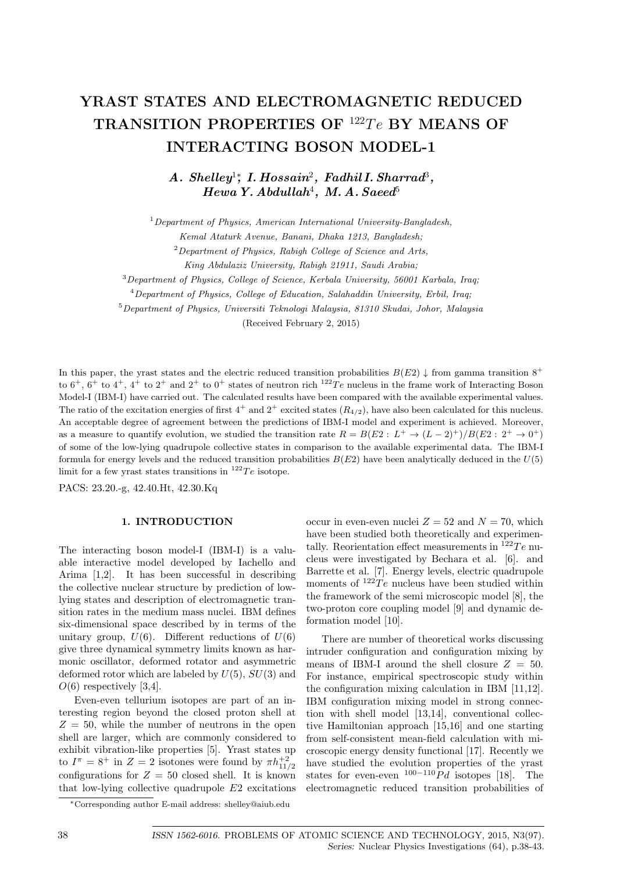# **YRAST STATES AND ELECTROMAGNETIC REDUCED** TRANSITION PROPERTIES OF <sup>122</sup>Te BY MEANS OF **INTERACTING BOSON MODEL-1**

*A. Shelley*<sup>1</sup>*<sup>∗</sup> , I. Hossain*<sup>2</sup> *, Fadhil I. Sharrad*<sup>3</sup> *,*  $Hewa$  Y. Abdullah<sup>4</sup>, M. A. Saeed<sup>5</sup>

<sup>1</sup>*Department of Physics, American International University-Bangladesh,*

<sup>2</sup>*Department of Physics, Rabigh College of Science and Arts,*

<sup>3</sup>*Department of Physics, College of Science, Kerbala University, 56001 Karbala, Iraq;*

<sup>4</sup>*Department of Physics, College of Education, Salahaddin University, Erbil, Iraq;*

<sup>5</sup>*Department of Physics, Universiti Teknologi Malaysia, 81310 Skudai, Johor, Malaysia*

(Received February 2, 2015)

In this paper, the yrast states and the electric reduced transition probabilities  $B(E2) \downarrow$  from gamma transition 8<sup>+</sup> to  $6^+$ ,  $6^+$  to  $4^+$ ,  $4^+$  to  $2^+$  and  $2^+$  to  $0^+$  states of neutron rich  $^{122}Te$  nucleus in the frame work of Interacting Boson Model-I (IBM-I) have carried out. The calculated results have been compared with the available experimental values. The ratio of the excitation energies of first  $4^+$  and  $2^+$  excited states  $(R_{4/2})$ , have also been calculated for this nucleus. An acceptable degree of agreement between the predictions of IBM-I model and experiment is achieved. Moreover, as a measure to quantify evolution, we studied the transition rate  $R = B(E2 : L^+ \to (L-2)^+)/B(E2 : 2^+ \to 0^+)$ of some of the low-lying quadrupole collective states in comparison to the available experimental data. The IBM-I formula for energy levels and the reduced transition probabilities  $B(E2)$  have been analytically deduced in the  $U(5)$ limit for a few yrast states transitions in  $^{122}Te$  isotope.

PACS: 23.20.-g, 42.40.Ht, 42.30.Kq

## **1. INTRODUCTION**

The interacting boson model-I (IBM-I) is a valuable interactive model developed by Iachello and Arima [1,2]. It has been successful in describing the collective nuclear structure by prediction of lowlying states and description of electromagnetic transition rates in the medium mass nuclei. IBM defines six-dimensional space described by in terms of the unitary group,  $U(6)$ . Different reductions of  $U(6)$ give three dynamical symmetry limits known as harmonic oscillator, deformed rotator and asymmetric deformed rotor which are labeled by *U*(5), *SU*(3) and  $O(6)$  respectively [3,4].

Even-even tellurium isotopes are part of an interesting region beyond the closed proton shell at  $Z = 50$ , while the number of neutrons in the open shell are larger, which are commonly considered to exhibit vibration-like properties [5]. Yrast states up to  $I^{\pi} = 8^+$  in  $Z = 2$  isotones were found by  $\pi h_{11/2}^{+2}$ configurations for  $Z = 50$  closed shell. It is known that low-lying collective quadrupole *E*2 excitations occur in even-even nuclei  $Z = 52$  and  $N = 70$ , which have been studied both theoretically and experimentally. Reorientation effect measurements in  $122Te$  nucleus were investigated by Bechara et al. [6]. and Barrette et al. [7]. Energy levels, electric quadrupole moments of  $^{122}Te$  nucleus have been studied within the framework of the semi microscopic model [8], the two-proton core coupling model [9] and dynamic deformation model [10].

There are number of theoretical works discussing intruder configuration and configuration mixing by means of IBM-I around the shell closure  $Z = 50$ . For instance, empirical spectroscopic study within the configuration mixing calculation in IBM [11,12]. IBM configuration mixing model in strong connection with shell model [13,14], conventional collective Hamiltonian approach [15,16] and one starting from self-consistent mean-field calculation with microscopic energy density functional [17]. Recently we have studied the evolution properties of the yrast states for even-even <sup>100</sup>*−*<sup>110</sup>*P d* isotopes [18]. The electromagnetic reduced transition probabilities of

*Kemal Ataturk Avenue, Banani, Dhaka 1213, Bangladesh;*

*King Abdulaziz University, Rabigh 21911, Saudi Arabia;*

*<sup>∗</sup>*Corresponding author E-mail address: shelley@aiub.edu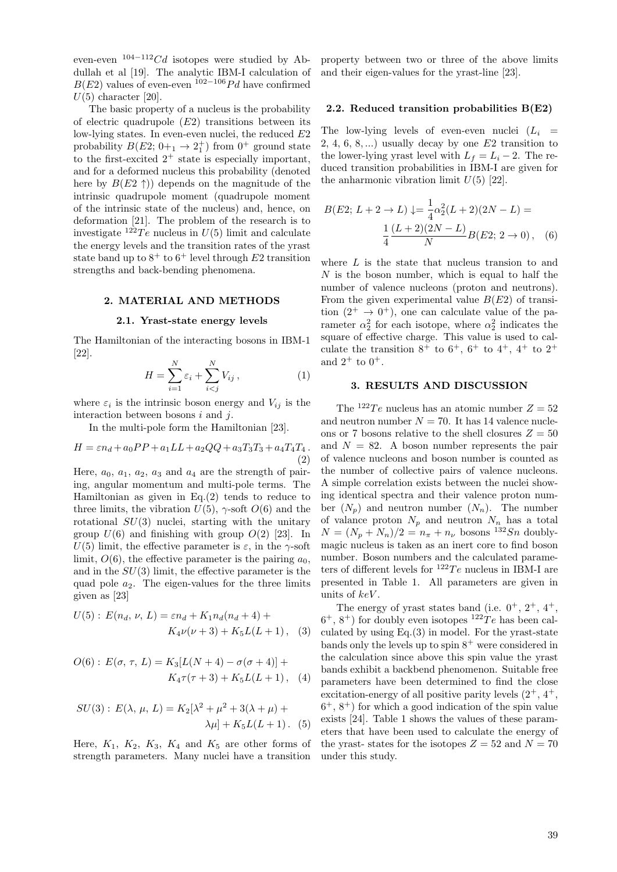even-even <sup>104</sup>*−*<sup>112</sup>*Cd* isotopes were studied by Abdullah et al [19]. The analytic IBM-I calculation of *B*(*E*2) values of even-even  $102-106$  *Pd* have confirmed  $U(5)$  character [20].

The basic property of a nucleus is the probability of electric quadrupole (*E*2) transitions between its low-lying states. In even-even nuclei, the reduced *E*2 probability  $B(E2; 0+_1 \rightarrow 2^+_1)$  from  $0^+$  ground state to the first-excited  $2^+$  state is especially important, and for a deformed nucleus this probability (denoted here by  $B(E2 \uparrow)$ ) depends on the magnitude of the intrinsic quadrupole moment (quadrupole moment of the intrinsic state of the nucleus) and, hence, on deformation [21]. The problem of the research is to investigate  $122Te$  nucleus in  $U(5)$  limit and calculate the energy levels and the transition rates of the yrast state band up to  $8^+$  to  $6^+$  level through  $E2$  transition strengths and back-bending phenomena.

## **2. MATERIAL AND METHODS**

#### **2.1. Yrast-state energy levels**

The Hamiltonian of the interacting bosons in IBM-1 [22].

$$
H = \sum_{i=1}^{N} \varepsilon_i + \sum_{i < j}^{N} V_{ij},\tag{1}
$$

where  $\varepsilon_i$  is the intrinsic boson energy and  $V_{ij}$  is the interaction between bosons *i* and *j*.

In the multi-pole form the Hamiltonian [23].

$$
H = \varepsilon n_d + a_0 PP + a_1 LL + a_2 QQ + a_3 T_3 T_3 + a_4 T_4 T_4.
$$
\n(2)

Here,  $a_0$ ,  $a_1$ ,  $a_2$ ,  $a_3$  and  $a_4$  are the strength of pairing, angular momentum and multi-pole terms. The Hamiltonian as given in Eq.(2) tends to reduce to three limits, the vibration  $U(5)$ ,  $\gamma$ -soft  $O(6)$  and the rotational *SU*(3) nuclei, starting with the unitary group  $U(6)$  and finishing with group  $O(2)$  [23]. In *U*(5) limit, the effective parameter is  $ε$ , in the *γ*-soft limit,  $O(6)$ , the effective parameter is the pairing  $a_0$ , and in the *SU*(3) limit, the effective parameter is the quad pole *a*2. The eigen-values for the three limits given as [23]

$$
U(5): E(n_d, \nu, L) = \varepsilon n_d + K_1 n_d(n_d + 4) + K_4 \nu(\nu + 3) + K_5 L(L + 1),
$$
 (3)

$$
O(6): E(\sigma, \tau, L) = K_3[L(N+4) - \sigma(\sigma+4)] + K_4 \tau(\tau+3) + K_5 L(L+1), \quad (4)
$$

$$
SU(3): E(\lambda, \mu, L) = K_2[\lambda^2 + \mu^2 + 3(\lambda + \mu) + \lambda \mu] + K_5 L(L+1). \tag{5}
$$

Here,  $K_1$ ,  $K_2$ ,  $K_3$ ,  $K_4$  and  $K_5$  are other forms of strength parameters. Many nuclei have a transition

property between two or three of the above limits and their eigen-values for the yrast-line [23].

## **2.2. Reduced transition probabilities B(E2)**

The low-lying levels of even-even nuclei  $(L_i =$ 2*,* 4*,* 6*,* 8*, ...*) usually decay by one *E*2 transition to the lower-lying yrast level with  $L_f = L_i - 2$ . The reduced transition probabilities in IBM-I are given for the anharmonic vibration limit  $U(5)$  [22].

$$
B(E2; L+2 \to L) \downarrow = \frac{1}{4} \alpha_2^2 (L+2)(2N - L) =
$$

$$
\frac{1}{4} \frac{(L+2)(2N - L)}{N} B(E2; 2 \to 0), \quad (6)
$$

where *L* is the state that nucleus transion to and *N* is the boson number, which is equal to half the number of valence nucleons (proton and neutrons). From the given experimental value  $B(E2)$  of transition  $(2^+ \rightarrow 0^+)$ , one can calculate value of the parameter  $\alpha_2^2$  for each isotope, where  $\alpha_2^2$  indicates the square of effective charge. This value is used to calculate the transition  $8^+$  to  $6^+$ ,  $6^+$  to  $4^+$ ,  $4^+$  to  $2^+$ and  $2^+$  to  $0^+$ .

#### **3. RESULTS AND DISCUSSION**

The <sup>122</sup>*Te* nucleus has an atomic number  $Z = 52$ and neutron number  $N = 70$ . It has 14 valence nucleons or 7 bosons relative to the shell closures  $Z = 50$ and  $N = 82$ . A boson number represents the pair of valence nucleons and boson number is counted as the number of collective pairs of valence nucleons. A simple correlation exists between the nuclei showing identical spectra and their valence proton number  $(N_n)$  and neutron number  $(N_n)$ . The number of valance proton  $N_p$  and neutron  $N_n$  has a total  $N = (N_p + N_n)/2 = n_\pi + n_\nu$  bosons <sup>132</sup>*Sn* doublymagic nucleus is taken as an inert core to find boson number. Boson numbers and the calculated parameters of different levels for  $^{122}Te$  nucleus in IBM-I are presented in Table 1. All parameters are given in units of *keV* .

The energy of yrast states band (i.e.  $0^+$ ,  $2^+$ ,  $4^+$ ,  $6^+$ ,  $8^+$ ) for doubly even isotopes  $12^2Te$  has been calculated by using Eq.(3) in model. For the yrast-state bands only the levels up to spin  $8^+$  were considered in the calculation since above this spin value the yrast bands exhibit a backbend phenomenon. Suitable free parameters have been determined to find the close excitation-energy of all positive parity levels  $(2^+, 4^+, 4^+)$  $6^+$ ,  $8^+$ ) for which a good indication of the spin value exists [24]. Table 1 shows the values of these parameters that have been used to calculate the energy of the yrast- states for the isotopes  $Z = 52$  and  $N = 70$ under this study.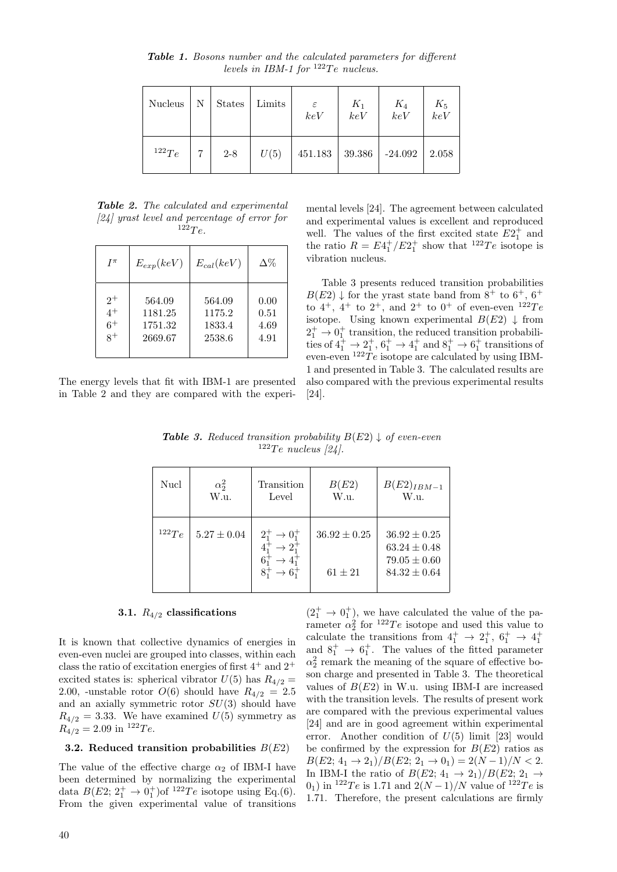$Nucleus \mid N \mid$  States  $\mid$  Limits  $\mid \varepsilon \mid K_1 \mid K_4 \mid K_5$ *keV keV keV keV*  $12^2Te$  | 7 | 2-8 |  $U(5)$  | 451.183 | 39.386 | -24.092 | 2.058

*Table 1. Bosons number and the calculated parameters for different levels in IBM-1 for*  $^{122}Te$  *nucleus.* 

*Table 2. The calculated and experimental [24] yrast level and percentage of error for*  $122Te.$ 

| $I^{\pi}$ | $E_{exp}(keV)$ | $E_{cal}(keV)$ | $\Delta\%$ |
|-----------|----------------|----------------|------------|
| $2^+$     | 564.09         | 564.09         | 0.00       |
| $4^+$     | 1181.25        | 1175.2         | 0.51       |
| $6+$      | 1751.32        | 1833.4         | 4.69       |
| $8^+$     | 2669.67        | 2538.6         | 4.91       |

The energy levels that fit with IBM-1 are presented in Table 2 and they are compared with the experimental levels [24]. The agreement between calculated and experimental values is excellent and reproduced well. The values of the first excited state  $E2_1^+$  and the ratio  $R = E_1^{\dagger}/E_2^{\dagger}$  show that <sup>122</sup>*Te* isotope is vibration nucleus.

Table 3 presents reduced transition probabilities  $B(E2) \downarrow$  for the yrast state band from  $8^+$  to  $6^+$ ,  $6^+$ to  $4^+$ ,  $4^+$  to  $2^+$ , and  $2^+$  to  $0^+$  of even-even  $122Te$ isotope. Using known experimental  $B(E2) \downarrow$  from  $2_1^+$   $\rightarrow$  0<sup>+</sup> transition, the reduced transition probabilities of  $4^+_1 \rightarrow 2^+_1, 6^+_1 \rightarrow 4^+_1$  and  $8^+_1 \rightarrow 6^+_1$  transitions of even-even  $^{122}Te$  isotope are calculated by using IBM-1 and presented in Table 3. The calculated results are also compared with the previous experimental results [24].

*Table 3.* Reduced transition probability  $B(E2) \downarrow$  of even-even  $122$ <sup>Te</sup> *nucleus* [24].

| Nucl  | $\alpha_2^2$<br>W.u. | Transition<br>Level                           | B(E2)<br>W.u.    | $B(E2)_{IBM-1}$<br>W.u.              |
|-------|----------------------|-----------------------------------------------|------------------|--------------------------------------|
| 122Te | $5.27 \pm 0.04$      | $2^+_1 \rightarrow 0^+_1$<br>$\rightarrow$ 2. | $36.92 \pm 0.25$ | $36.92 \pm 0.25$<br>$63.24 \pm 0.48$ |
|       |                      |                                               | $61 \pm 21$      | $79.05 \pm 0.60$<br>$84.32 \pm 0.64$ |

## **3.1.** *R*4*/*<sup>2</sup> **classifications**

It is known that collective dynamics of energies in even-even nuclei are grouped into classes, within each class the ratio of excitation energies of first  $4^+$  and  $2^+$ excited states is: spherical vibrator  $U(5)$  has  $R_{4/2} =$ 2.00, -unstable rotor  $O(6)$  should have  $R_{4/2} = 2.5$ and an axially symmetric rotor *SU*(3) should have  $R_{4/2} = 3.33$ . We have examined  $U(5)$  symmetry as  $R_{4/2} = 2.09$  in <sup>122</sup>*Te*.

## **3.2. Reduced transition probabilities** *B*(*E*2)

The value of the effective charge  $\alpha_2$  of IBM-I have been determined by normalizing the experimental data  $B(E2; 2^+_1 \rightarrow 0^+_1)$  of  $^{122}Te$  isotope using Eq.(6). From the given experimental value of transitions

 $(2^+$   $\rightarrow 0^+$ ), we have calculated the value of the parameter  $\alpha_2^2$  for  $^{122}Te$  isotope and used this value to calculate the transitions from  $4^+_1$   $\rightarrow$   $2^+_1$ ,  $6^+_1$   $\rightarrow$   $4^+_1$ and  $8^+_1 \rightarrow 6^+_1$ . The values of the fitted parameter  $\alpha_2^2$  remark the meaning of the square of effective boson charge and presented in Table 3. The theoretical values of  $B(E2)$  in W.u. using IBM-I are increased with the transition levels. The results of present work are compared with the previous experimental values [24] and are in good agreement within experimental error. Another condition of *U*(5) limit [23] would be confirmed by the expression for  $B(E2)$  ratios as  $B(E2; 4_1 \rightarrow 2_1)/B(E2; 2_1 \rightarrow 0_1) = 2(N-1)/N < 2.$ In IBM-I the ratio of  $B(E2; 4_1 \rightarrow 2_1)/B(E2; 2_1 \rightarrow$ 0<sub>1</sub>) in <sup>122</sup>*Te* is 1.71 and  $2(N-1)/N$  value of <sup>122</sup>*Te* is 1*.*71. Therefore, the present calculations are firmly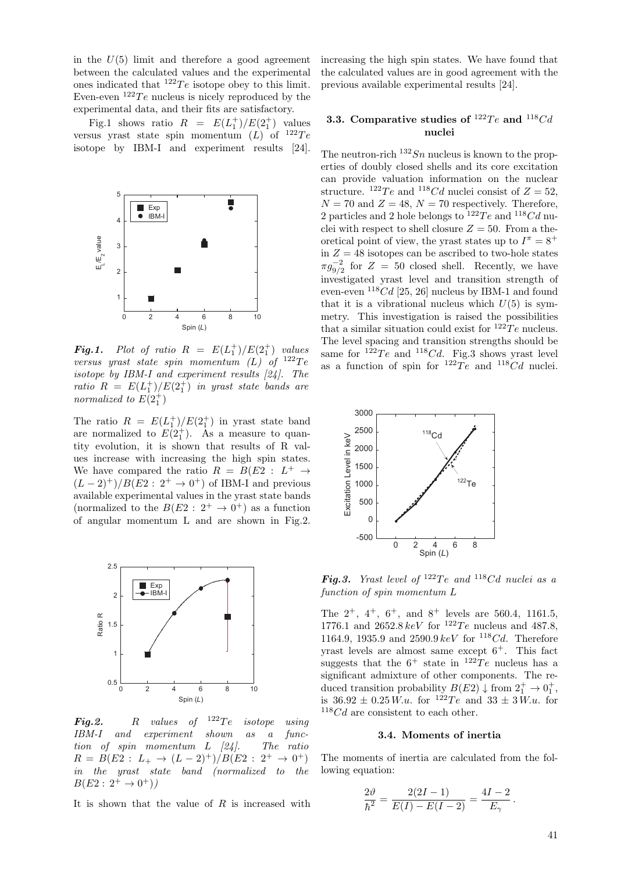in the  $U(5)$  limit and therefore a good agreement between the calculated values and the experimental ones indicated that  $122Te$  isotope obey to this limit. Even-even  $122Te$  nucleus is nicely reproduced by the experimental data, and their fits are satisfactory.

Fig.1 shows ratio  $R = E(L_1^+)/E(2_1^+)$  values versus yrast state spin momentum  $(L)$  of  $^{122}Te$ isotope by IBM-I and experiment results [24].



*Fig.1.* Plot of ratio  $R = E(L_1^+)/E(2_1^+)$  values *versus yrast state spin momentum (L) of* <sup>122</sup>*T e isotope by IBM-I and experiment results [24]. The ratio*  $R = E(L_1^+)/E(2_1^+)$  *in yrast state bands are normalized to*  $E(2_1^+)$ 

The ratio  $R = E(L_1^+)/E(2_1^+)$  in yrast state band are normalized to  $E(2<sub>1</sub><sup>+</sup>)$ . As a measure to quantity evolution, it is shown that results of R values increase with increasing the high spin states. We have compared the ratio  $R = B(E2 : L^+ \rightarrow$ (*<sup>L</sup> <sup>−</sup>* 2)<sup>+</sup>)*/B*(*E*2 : 2<sup>+</sup> *<sup>→</sup>* <sup>0</sup> <sup>+</sup>) of IBM-I and previous available experimental values in the yrast state bands (normalized to the  $B(E_2: 2^+ \rightarrow 0^+)$  as a function of angular momentum L and are shown in Fig.2.



*Fig.2. R values of* <sup>122</sup>*T e isotope using IBM-I and experiment shown as a function of spin momentum L [24]. The ratio*  $R = B(E2 : L_+ \rightarrow (L-2)^+) / B(E2 : 2^+ \rightarrow 0^+)$ *in the yrast state band (normalized to the*  $B(E2: 2^+ \rightarrow 0^+))$ 

It is shown that the value of *R* is increased with

increasing the high spin states. We have found that the calculated values are in good agreement with the previous available experimental results [24].

## **3.3.** Comparative studies of  $^{122}Te$  and  $^{118}Cd$ **nuclei**

The neutron-rich  $132Sn$  nucleus is known to the properties of doubly closed shells and its core excitation can provide valuation information on the nuclear structure. <sup>122</sup>*Te* and <sup>118</sup>*Cd* nuclei consist of  $Z = 52$ ,  $N = 70$  and  $Z = 48$ ,  $N = 70$  respectively. Therefore, 2 particles and 2 hole belongs to  $122Te$  and  $118Cd$  nuclei with respect to shell closure  $Z = 50$ . From a theoretical point of view, the yrast states up to  $I^{\pi} = 8^+$ in  $Z = 48$  isotopes can be ascribed to two-hole states  $\pi g_{9/2}^{-2}$  for  $Z = 50$  closed shell. Recently, we have investigated yrast level and transition strength of even-even  $118Cd$  [25, 26] nucleus by IBM-1 and found that it is a vibrational nucleus which  $U(5)$  is symmetry. This investigation is raised the possibilities that a similar situation could exist for  $122Te$  nucleus. The level spacing and transition strengths should be same for  $^{122}Te$  and  $^{118}Cd$ . Fig.3 shows yrast level as a function of spin for  $^{122}Te$  and  $^{118}Cd$  nuclei.



*Fig.3. Yrast level of*  $^{122}Te$  *and*  $^{118}Cd$  *nuclei as a function of spin momentum L*

The 2<sup>+</sup>, 4<sup>+</sup>, 6<sup>+</sup>, and 8<sup>+</sup> levels are 560*.*4, 1161*.*5, 1776.1 and  $2652.8 \, keV$  for  $122Te$  nucleus and 487.8, 1164*.*9, 1935*.*9 and 2590*.*9 *keV* for <sup>118</sup>*Cd*. Therefore yrast levels are almost same except  $6^+$ . This fact suggests that the  $6^+$  state in  $122Te$  nucleus has a significant admixture of other components. The reduced transition probability  $B(E2) \downarrow$  from  $2^+_1 \rightarrow 0^+_1$ , is  $36.92 \pm 0.25 W.u.$  for  $12^{2}Te$  and  $33 \pm 3 W.u.$  for <sup>118</sup>*Cd* are consistent to each other.

#### **3.4. Moments of inertia**

The moments of inertia are calculated from the following equation:

$$
\frac{2\vartheta}{\hbar^2} = \frac{2(2I-1)}{E(I) - E(I-2)} = \frac{4I-2}{E_\gamma}.
$$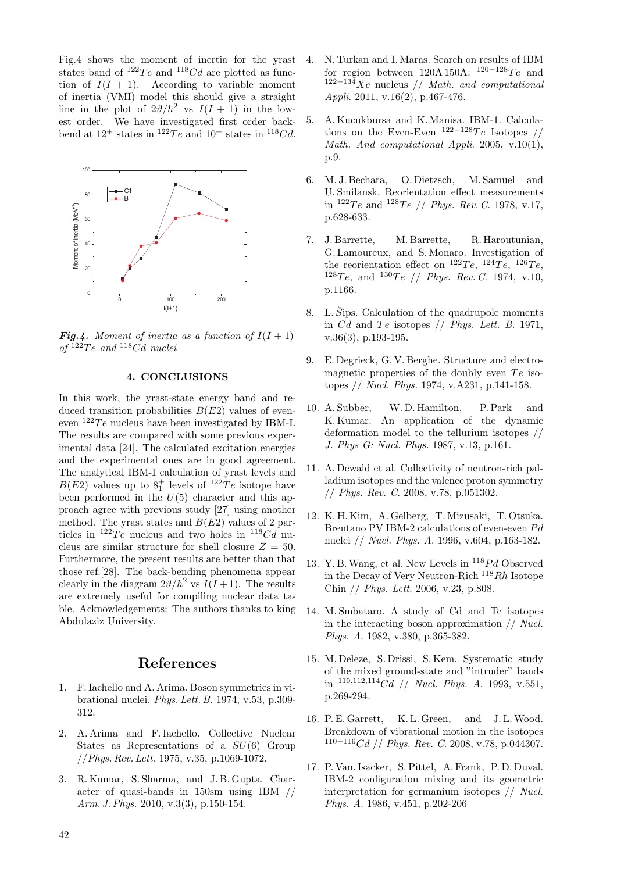Fig.4 shows the moment of inertia for the yrast states band of  $^{122}Te$  and  $^{118}Cd$  are plotted as function of  $I(I + 1)$ . According to variable moment of inertia (VMI) model this should give a straight line in the plot of  $2\vartheta/\hbar^2$  vs  $I(I + 1)$  in the lowest order. We have investigated first order backbend at  $12^+$  states in  $12^+$  gand  $10^+$  states in  $11^8$ Cd.



*Fig.4. Moment of inertia as a function of*  $I(I + 1)$ *of* <sup>122</sup>*T e and* <sup>118</sup>*Cd nuclei*

#### **4. CONCLUSIONS**

In this work, the yrast-state energy band and reduced transition probabilities *B*(*E*2) values of eveneven  $122Te$  nucleus have been investigated by IBM-I. The results are compared with some previous experimental data [24]. The calculated excitation energies and the experimental ones are in good agreement. The analytical IBM-I calculation of yrast levels and  $B(E2)$  values up to  $8<sub>1</sub><sup>+</sup>$  levels of <sup>122</sup>*Te* isotope have been performed in the  $U(5)$  character and this approach agree with previous study [27] using another method. The yrast states and *B*(*E*2) values of 2 particles in  $^{122}Te$  nucleus and two holes in  $^{118}Cd$  nucleus are similar structure for shell closure  $Z = 50$ . Furthermore, the present results are better than that those ref.[28]. The back-bending phenomena appear clearly in the diagram  $2\vartheta/\hbar^2$  vs  $I(I+1)$ . The results are extremely useful for compiling nuclear data table. Acknowledgements: The authors thanks to king Abdulaziz University.

# **References**

- 1. F. Iachello and A. Arima. Boson symmetries in vibrational nuclei. *Phys. Lett. B*. 1974, v.53, p.309- 312.
- 2. A. Arima and F. Iachello. Collective Nuclear States as Representations of a *SU*(6) Group //*Phys. Rev. Lett*. 1975, v.35, p.1069-1072.
- 3. R. Kumar, S. Sharma, and J. B. Gupta. Character of quasi-bands in 150sm using IBM // *Arm. J. Phys.* 2010, v.3(3), p.150-154.
- 4. N. Turkan and I. Maras. Search on results of IBM for region between 120A 150A: <sup>120</sup>*−*<sup>128</sup>*T e* and <sup>122</sup>*−*<sup>134</sup>*Xe* nucleus // *Math. and computational Appli*. 2011, v.16(2), p.467-476.
- 5. A. Kucukbursa and K. Manisa. IBM-1. Calculations on the Even-Even  $122-128Te$  Isotopes // *Math. And computational Appli*. 2005, v.10(1), p.9.
- 6. M. J. Bechara, O. Dietzsch, M. Samuel and U. Smilansk. Reorientation effect measurements in <sup>122</sup>*T e* and <sup>128</sup>*T e* // *Phys. Rev. C*. 1978, v.17, p.628-633.
- 7. J. Barrette, M. Barrette, R. Haroutunian, G. Lamoureux, and S. Monaro. Investigation of the reorientation effect on  $^{122}Te$ ,  $^{124}Te$ ,  $^{126}Te$ ,  $128Te$ , and  $130Te$  // *Phys. Rev. C.* 1974, v.10, p.1166.
- 8. L.  $\check{S}$ ips. Calculation of the quadrupole moments in  $Cd$  and  $Te$  isotopes  $// Phys. Lett. B. 1971,$ v.36(3), p.193-195.
- 9. E. Degrieck, G. V. Berghe. Structure and electromagnetic properties of the doubly even  $Te$  isotopes // *Nucl. Phys.* 1974, v.A231, p.141-158.
- 10. A. Subber, W. D. Hamilton, P. Park and K. Kumar. An application of the dynamic deformation model to the tellurium isotopes // *J. Phys G: Nucl. Phys.* 1987, v.13, p.161.
- 11. A. Dewald et al. Collectivity of neutron-rich palladium isotopes and the valence proton symmetry // *Phys. Rev. C*. 2008, v.78, p.051302.
- 12. K. H. Kim, A. Gelberg, T. Mizusaki, T. Otsuka. Brentano PV IBM-2 calculations of even-even *P d* nuclei // *Nucl. Phys. A*. 1996, v.604, p.163-182.
- 13. Y. B.Wang, et al. New Levels in <sup>118</sup>*P d* Observed in the Decay of Very Neutron-Rich <sup>118</sup>*Rh* Isotope Chin // *Phys. Lett*. 2006, v.23, p.808.
- 14. M. Smbataro. A study of Cd and Te isotopes in the interacting boson approximation // *Nucl. Phys. A*. 1982, v.380, p.365-382.
- 15. M. Deleze, S. Drissi, S. Kem. Systematic study of the mixed ground-state and "intruder" bands in <sup>110</sup>*,*112*,*<sup>114</sup>*Cd* // *Nucl. Phys. A*. 1993, v.551, p.269-294.
- 16. P. E. Garrett, K. L. Green, and J. L.Wood. Breakdown of vibrational motion in the isotopes <sup>110</sup>*−*<sup>116</sup>*Cd* // *Phys. Rev. C*. 2008, v.78, p.044307.
- 17. P. Van. Isacker, S. Pittel, A. Frank, P. D. Duval. IBM-2 configuration mixing and its geometric interpretation for germanium isotopes // *Nucl. Phys. A*. 1986, v.451, p.202-206